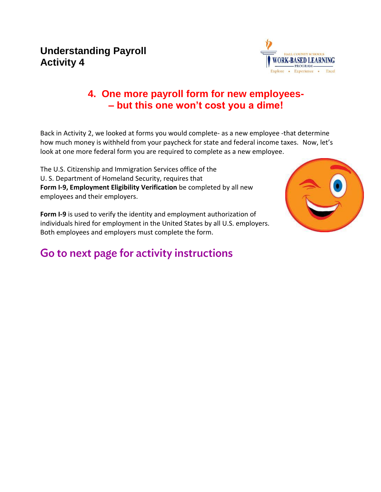## **Understanding Payroll Activity 4**



## **4. One more payroll form for new employees- – but this one won't cost you a dime!**

Back in Activity 2, we looked at forms you would complete- as a new employee -that determine how much money is withheld from your paycheck for state and federal income taxes.Now, let's look at one more federal form you are required to complete as a new employee.

The U.S. Citizenship and Immigration Services office of the U. S. Department of Homeland Security, requires that **Form I-9, Employment Eligibility Verification** be completed by all new employees and their employers.

**Form I-9** is used to verify the identity and employment authorization of individuals hired for employment in the United States by all U.S. employers. Both employees and employers must complete the form.

## Go to next page for activity instructions